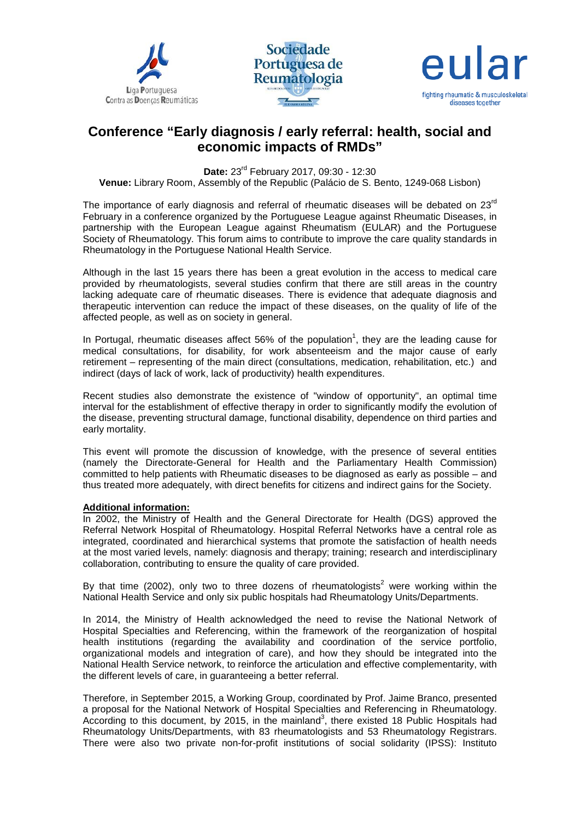





# **Conference "Early diagnosis / early referral: health, social and economic impacts of RMDs"**

**Date:** 23rd February 2017, 09:30 - 12:30

**Venue:** Library Room, Assembly of the Republic (Palácio de S. Bento, 1249-068 Lisbon)

The importance of early diagnosis and referral of rheumatic diseases will be debated on  $23<sup>rd</sup>$ February in a conference organized by the Portuguese League against Rheumatic Diseases, in partnership with the European League against Rheumatism (EULAR) and the Portuguese Society of Rheumatology. This forum aims to contribute to improve the care quality standards in Rheumatology in the Portuguese National Health Service.

Although in the last 15 years there has been a great evolution in the access to medical care provided by rheumatologists, several studies confirm that there are still areas in the country lacking adequate care of rheumatic diseases. There is evidence that adequate diagnosis and therapeutic intervention can reduce the impact of these diseases, on the quality of life of the affected people, as well as on society in general.

In Portugal, rheumatic diseases affect 56% of the population<sup>1</sup>, they are the leading cause for medical consultations, for disability, for work absenteeism and the major cause of early retirement – representing of the main direct (consultations, medication, rehabilitation, etc.) and indirect (days of lack of work, lack of productivity) health expenditures.

Recent studies also demonstrate the existence of "window of opportunity", an optimal time interval for the establishment of effective therapy in order to significantly modify the evolution of the disease, preventing structural damage, functional disability, dependence on third parties and early mortality.

This event will promote the discussion of knowledge, with the presence of several entities (namely the Directorate-General for Health and the Parliamentary Health Commission) committed to help patients with Rheumatic diseases to be diagnosed as early as possible – and thus treated more adequately, with direct benefits for citizens and indirect gains for the Society.

#### **Additional information:**

In 2002, the Ministry of Health and the General Directorate for Health (DGS) approved the Referral Network Hospital of Rheumatology. Hospital Referral Networks have a central role as integrated, coordinated and hierarchical systems that promote the satisfaction of health needs at the most varied levels, namely: diagnosis and therapy; training; research and interdisciplinary collaboration, contributing to ensure the quality of care provided.

By that time (2002), only two to three dozens of rheumatologists<sup>2</sup> were working within the National Health Service and only six public hospitals had Rheumatology Units/Departments.

In 2014, the Ministry of Health acknowledged the need to revise the National Network of Hospital Specialties and Referencing, within the framework of the reorganization of hospital health institutions (regarding the availability and coordination of the service portfolio, organizational models and integration of care), and how they should be integrated into the National Health Service network, to reinforce the articulation and effective complementarity, with the different levels of care, in guaranteeing a better referral.

Therefore, in September 2015, a Working Group, coordinated by Prof. Jaime Branco, presented a proposal for the National Network of Hospital Specialties and Referencing in Rheumatology. According to this document, by 2015, in the mainland<sup>3</sup>, there existed 18 Public Hospitals had Rheumatology Units/Departments, with 83 rheumatologists and 53 Rheumatology Registrars. There were also two private non-for-profit institutions of social solidarity (IPSS): Instituto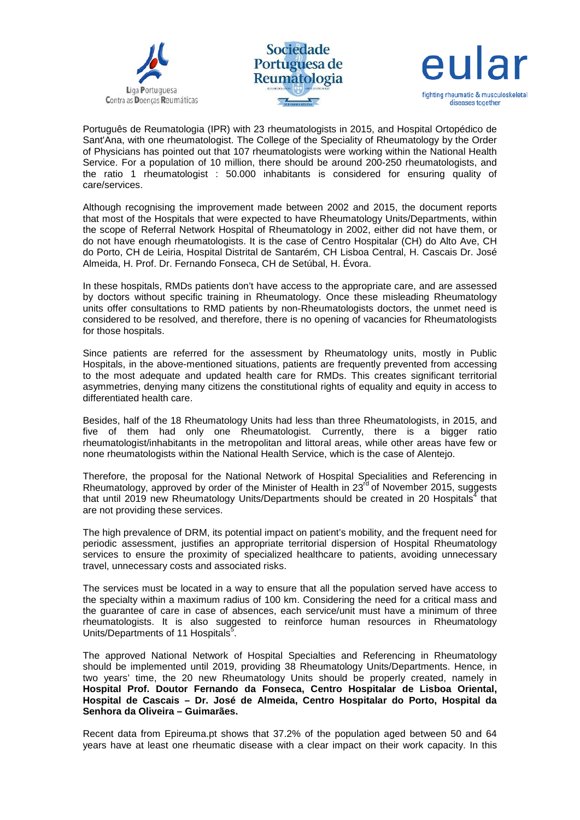





Português de Reumatologia (IPR) with 23 rheumatologists in 2015, and Hospital Ortopédico de Sant'Ana, with one rheumatologist. The College of the Speciality of Rheumatology by the Order of Physicians has pointed out that 107 rheumatologists were working within the National Health Service. For a population of 10 million, there should be around 200-250 rheumatologists, and the ratio 1 rheumatologist : 50.000 inhabitants is considered for ensuring quality of care/services.

Although recognising the improvement made between 2002 and 2015, the document reports that most of the Hospitals that were expected to have Rheumatology Units/Departments, within the scope of Referral Network Hospital of Rheumatology in 2002, either did not have them, or do not have enough rheumatologists. It is the case of Centro Hospitalar (CH) do Alto Ave, CH do Porto, CH de Leiria, Hospital Distrital de Santarém, CH Lisboa Central, H. Cascais Dr. José Almeida, H. Prof. Dr. Fernando Fonseca, CH de Setúbal, H. Évora.

In these hospitals, RMDs patients don't have access to the appropriate care, and are assessed by doctors without specific training in Rheumatology. Once these misleading Rheumatology units offer consultations to RMD patients by non-Rheumatologists doctors, the unmet need is considered to be resolved, and therefore, there is no opening of vacancies for Rheumatologists for those hospitals.

Since patients are referred for the assessment by Rheumatology units, mostly in Public Hospitals, in the above-mentioned situations, patients are frequently prevented from accessing to the most adequate and updated health care for RMDs. This creates significant territorial asymmetries, denying many citizens the constitutional rights of equality and equity in access to differentiated health care.

Besides, half of the 18 Rheumatology Units had less than three Rheumatologists, in 2015, and five of them had only one Rheumatologist. Currently, there is a bigger ratio rheumatologist/inhabitants in the metropolitan and littoral areas, while other areas have few or none rheumatologists within the National Health Service, which is the case of Alentejo.

Therefore, the proposal for the National Network of Hospital Specialities and Referencing in Rheumatology, approved by order of the Minister of Health in  $23<sup>rd</sup>$  of November 2015, suggests that until 2019 new Rheumatology Units/Departments should be created in 20 Hospitals<sup>4</sup> that are not providing these services.

The high prevalence of DRM, its potential impact on patient's mobility, and the frequent need for periodic assessment, justifies an appropriate territorial dispersion of Hospital Rheumatology services to ensure the proximity of specialized healthcare to patients, avoiding unnecessary travel, unnecessary costs and associated risks.

The services must be located in a way to ensure that all the population served have access to the specialty within a maximum radius of 100 km. Considering the need for a critical mass and the guarantee of care in case of absences, each service/unit must have a minimum of three rheumatologists. It is also suggested to reinforce human resources in Rheumatology Units/Departments of 11 Hospitals<sup>5</sup>.

The approved National Network of Hospital Specialties and Referencing in Rheumatology should be implemented until 2019, providing 38 Rheumatology Units/Departments. Hence, in two years' time, the 20 new Rheumatology Units should be properly created, namely in **Hospital Prof. Doutor Fernando da Fonseca, Centro Hospitalar de Lisboa Oriental, Hospital de Cascais – Dr. José de Almeida, Centro Hospitalar do Porto, Hospital da Senhora da Oliveira – Guimarães.**

Recent data from Epireuma.pt shows that 37.2% of the population aged between 50 and 64 years have at least one rheumatic disease with a clear impact on their work capacity. In this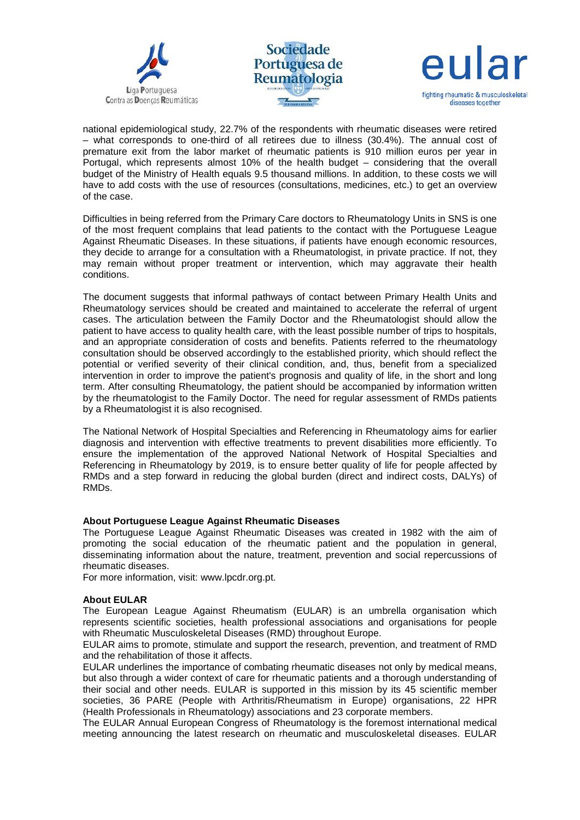





national epidemiological study, 22.7% of the respondents with rheumatic diseases were retired – what corresponds to one-third of all retirees due to illness (30.4%). The annual cost of premature exit from the labor market of rheumatic patients is 910 million euros per year in Portugal, which represents almost 10% of the health budget – considering that the overall budget of the Ministry of Health equals 9.5 thousand millions. In addition, to these costs we will have to add costs with the use of resources (consultations, medicines, etc.) to get an overview of the case.

Difficulties in being referred from the Primary Care doctors to Rheumatology Units in SNS is one of the most frequent complains that lead patients to the contact with the Portuguese League Against Rheumatic Diseases. In these situations, if patients have enough economic resources, they decide to arrange for a consultation with a Rheumatologist, in private practice. If not, they may remain without proper treatment or intervention, which may aggravate their health conditions.

The document suggests that informal pathways of contact between Primary Health Units and Rheumatology services should be created and maintained to accelerate the referral of urgent cases. The articulation between the Family Doctor and the Rheumatologist should allow the patient to have access to quality health care, with the least possible number of trips to hospitals, and an appropriate consideration of costs and benefits. Patients referred to the rheumatology consultation should be observed accordingly to the established priority, which should reflect the potential or verified severity of their clinical condition, and, thus, benefit from a specialized intervention in order to improve the patient's prognosis and quality of life, in the short and long term. After consulting Rheumatology, the patient should be accompanied by information written by the rheumatologist to the Family Doctor. The need for regular assessment of RMDs patients by a Rheumatologist it is also recognised.

The National Network of Hospital Specialties and Referencing in Rheumatology aims for earlier diagnosis and intervention with effective treatments to prevent disabilities more efficiently. To ensure the implementation of the approved National Network of Hospital Specialties and Referencing in Rheumatology by 2019, is to ensure better quality of life for people affected by RMDs and a step forward in reducing the global burden (direct and indirect costs, DALYs) of RMDs.

#### **About Portuguese League Against Rheumatic Diseases**

The Portuguese League Against Rheumatic Diseases was created in 1982 with the aim of promoting the social education of the rheumatic patient and the population in general, disseminating information about the nature, treatment, prevention and social repercussions of rheumatic diseases.

For more information, visit: www.lpcdr.org.pt.

## **About EULAR**

The European League Against Rheumatism (EULAR) is an umbrella organisation which represents scientific societies, health professional associations and organisations for people with Rheumatic Musculoskeletal Diseases (RMD) throughout Europe.

EULAR aims to promote, stimulate and support the research, prevention, and treatment of RMD and the rehabilitation of those it affects.

EULAR underlines the importance of combating rheumatic diseases not only by medical means, but also through a wider context of care for rheumatic patients and a thorough understanding of their social and other needs. EULAR is supported in this mission by its 45 scientific member societies, 36 PARE (People with Arthritis/Rheumatism in Europe) organisations, 22 HPR (Health Professionals in Rheumatology) associations and 23 corporate members.

The EULAR Annual European Congress of Rheumatology is the foremost international medical meeting announcing the latest research on rheumatic and musculoskeletal diseases. EULAR